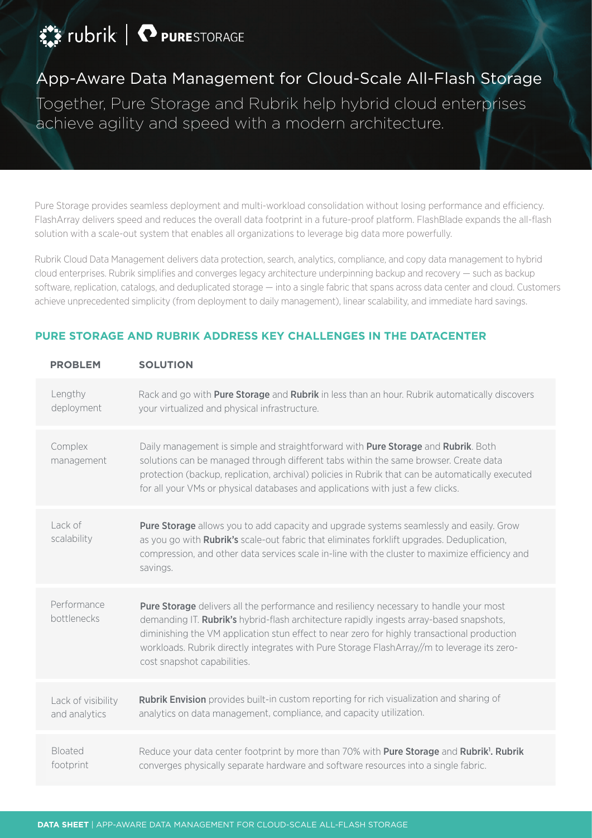# FORESTORAGE

# App-Aware Data Management for Cloud-Scale All-Flash Storage

Together, Pure Storage and Rubrik help hybrid cloud enterprises achieve agility and speed with a modern architecture.

Pure Storage provides seamless deployment and multi-workload consolidation without losing performance and efficiency. FlashArray delivers speed and reduces the overall data footprint in a future-proof platform. FlashBlade expands the all-flash solution with a scale-out system that enables all organizations to leverage big data more powerfully.

Rubrik Cloud Data Management delivers data protection, search, analytics, compliance, and copy data management to hybrid cloud enterprises. Rubrik simplifies and converges legacy architecture underpinning backup and recovery — such as backup software, replication, catalogs, and deduplicated storage — into a single fabric that spans across data center and cloud. Customers achieve unprecedented simplicity (from deployment to daily management), linear scalability, and immediate hard savings.

| <b>PROBLEM</b>                      | <b>SOLUTION</b>                                                                                                                                                                                                                                                                                                                                                                                                |
|-------------------------------------|----------------------------------------------------------------------------------------------------------------------------------------------------------------------------------------------------------------------------------------------------------------------------------------------------------------------------------------------------------------------------------------------------------------|
| Lengthy<br>deployment               | Rack and go with <b>Pure Storage</b> and <b>Rubrik</b> in less than an hour. Rubrik automatically discovers<br>your virtualized and physical infrastructure.                                                                                                                                                                                                                                                   |
| Complex<br>management               | Daily management is simple and straightforward with Pure Storage and Rubrik. Both<br>solutions can be managed through different tabs within the same browser. Create data<br>protection (backup, replication, archival) policies in Rubrik that can be automatically executed<br>for all your VMs or physical databases and applications with just a few clicks.                                               |
| Lack of<br>scalability              | <b>Pure Storage</b> allows you to add capacity and upgrade systems seamlessly and easily. Grow<br>as you go with <b>Rubrik's</b> scale-out fabric that eliminates forklift upgrades. Deduplication,<br>compression, and other data services scale in-line with the cluster to maximize efficiency and<br>savings.                                                                                              |
| Performance<br>bottlenecks          | Pure Storage delivers all the performance and resiliency necessary to handle your most<br>demanding IT. Rubrik's hybrid-flash architecture rapidly ingests array-based snapshots,<br>diminishing the VM application stun effect to near zero for highly transactional production<br>workloads. Rubrik directly integrates with Pure Storage FlashArray//m to leverage its zero-<br>cost snapshot capabilities. |
| Lack of visibility<br>and analytics | Rubrik Envision provides built-in custom reporting for rich visualization and sharing of<br>analytics on data management, compliance, and capacity utilization.                                                                                                                                                                                                                                                |
| Bloated<br>footprint                | Reduce your data center footprint by more than 70% with Pure Storage and Rubrik'. Rubrik<br>converges physically separate hardware and software resources into a single fabric.                                                                                                                                                                                                                                |

### **PURE STORAGE AND RUBRIK ADDRESS KEY CHALLENGES IN THE DATACENTER**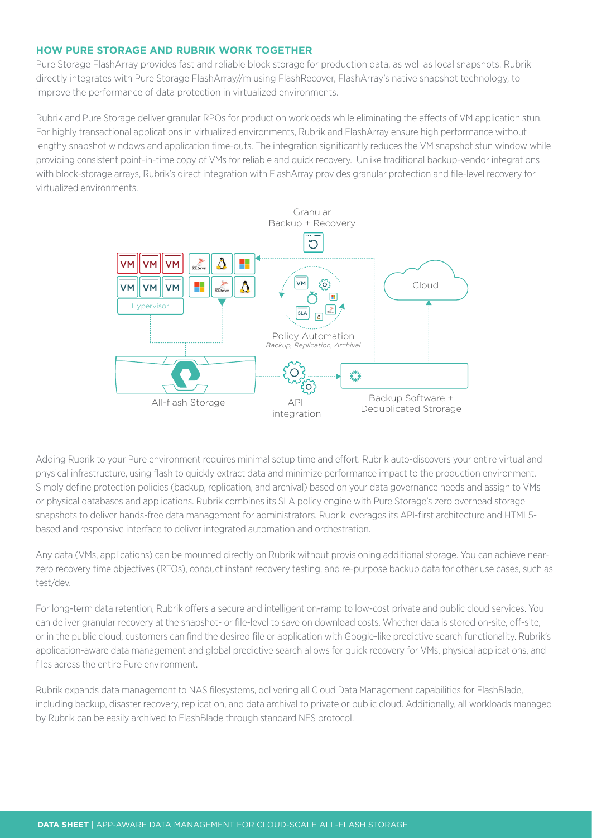#### **HOW PURE STORAGE AND RUBRIK WORK TOGETHER**

Pure Storage FlashArray provides fast and reliable block storage for production data, as well as local snapshots. Rubrik directly integrates with Pure Storage FlashArray//m using FlashRecover, FlashArray's native snapshot technology, to improve the performance of data protection in virtualized environments.

Rubrik and Pure Storage deliver granular RPOs for production workloads while eliminating the effects of VM application stun. For highly transactional applications in virtualized environments, Rubrik and FlashArray ensure high performance without lengthy snapshot windows and application time-outs. The integration significantly reduces the VM snapshot stun window while providing consistent point-in-time copy of VMs for reliable and quick recovery. Unlike traditional backup-vendor integrations with block-storage arrays, Rubrik's direct integration with FlashArray provides granular protection and file-level recovery for virtualized environments.



Adding Rubrik to your Pure environment requires minimal setup time and effort. Rubrik auto-discovers your entire virtual and physical infrastructure, using flash to quickly extract data and minimize performance impact to the production environment. Simply define protection policies (backup, replication, and archival) based on your data governance needs and assign to VMs or physical databases and applications. Rubrik combines its SLA policy engine with Pure Storage's zero overhead storage snapshots to deliver hands-free data management for administrators. Rubrik leverages its API-first architecture and HTML5 based and responsive interface to deliver integrated automation and orchestration.

Any data (VMs, applications) can be mounted directly on Rubrik without provisioning additional storage. You can achieve nearzero recovery time objectives (RTOs), conduct instant recovery testing, and re-purpose backup data for other use cases, such as test/dev.

For long-term data retention, Rubrik offers a secure and intelligent on-ramp to low-cost private and public cloud services. You can deliver granular recovery at the snapshot- or file-level to save on download costs. Whether data is stored on-site, off-site, or in the public cloud, customers can find the desired file or application with Google-like predictive search functionality. Rubrik's application-aware data management and global predictive search allows for quick recovery for VMs, physical applications, and files across the entire Pure environment.

Rubrik expands data management to NAS filesystems, delivering all Cloud Data Management capabilities for FlashBlade, including backup, disaster recovery, replication, and data archival to private or public cloud. Additionally, all workloads managed by Rubrik can be easily archived to FlashBlade through standard NFS protocol.